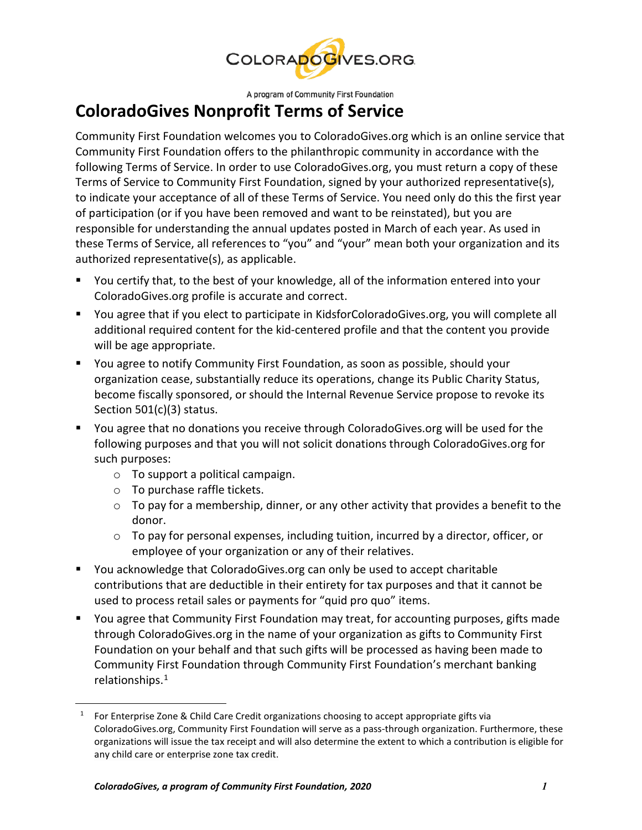

A program of Community First Foundation

## **ColoradoGives Nonprofit Terms of Service**

Community First Foundation welcomes you to ColoradoGives.org which is an online service that Community First Foundation offers to the philanthropic community in accordance with the following Terms of Service. In order to use ColoradoGives.org, you must return a copy of these Terms of Service to Community First Foundation, signed by your authorized representative(s), to indicate your acceptance of all of these Terms of Service. You need only do this the first year of participation (or if you have been removed and want to be reinstated), but you are responsible for understanding the annual updates posted in March of each year. As used in these Terms of Service, all references to "you" and "your" mean both your organization and its authorized representative(s), as applicable.

- You certify that, to the best of your knowledge, all of the information entered into your ColoradoGives.org profile is accurate and correct.
- You agree that if you elect to participate in KidsforColoradoGives.org, you will complete all additional required content for the kid-centered profile and that the content you provide will be age appropriate.
- You agree to notify Community First Foundation, as soon as possible, should your organization cease, substantially reduce its operations, change its Public Charity Status, become fiscally sponsored, or should the Internal Revenue Service propose to revoke its Section 501(c)(3) status.
- You agree that no donations you receive through ColoradoGives.org will be used for the following purposes and that you will not solicit donations through ColoradoGives.org for such purposes:
	- o To support a political campaign.
	- o To purchase raffle tickets.

<span id="page-0-0"></span> $\overline{a}$ 

- $\circ$  To pay for a membership, dinner, or any other activity that provides a benefit to the donor.
- o To pay for personal expenses, including tuition, incurred by a director, officer, or employee of your organization or any of their relatives.
- You acknowledge that ColoradoGives.org can only be used to accept charitable contributions that are deductible in their entirety for tax purposes and that it cannot be used to process retail sales or payments for "quid pro quo" items.
- You agree that Community First Foundation may treat, for accounting purposes, gifts made through ColoradoGives.org in the name of your organization as gifts to Community First Foundation on your behalf and that such gifts will be processed as having been made to Community First Foundation through Community First Foundation's merchant banking relationships. [1](#page-0-0)

<sup>&</sup>lt;sup>1</sup> For Enterprise Zone & Child Care Credit organizations choosing to accept appropriate gifts via ColoradoGives.org, Community First Foundation will serve as a pass-through organization. Furthermore, these organizations will issue the tax receipt and will also determine the extent to which a contribution is eligible for any child care or enterprise zone tax credit.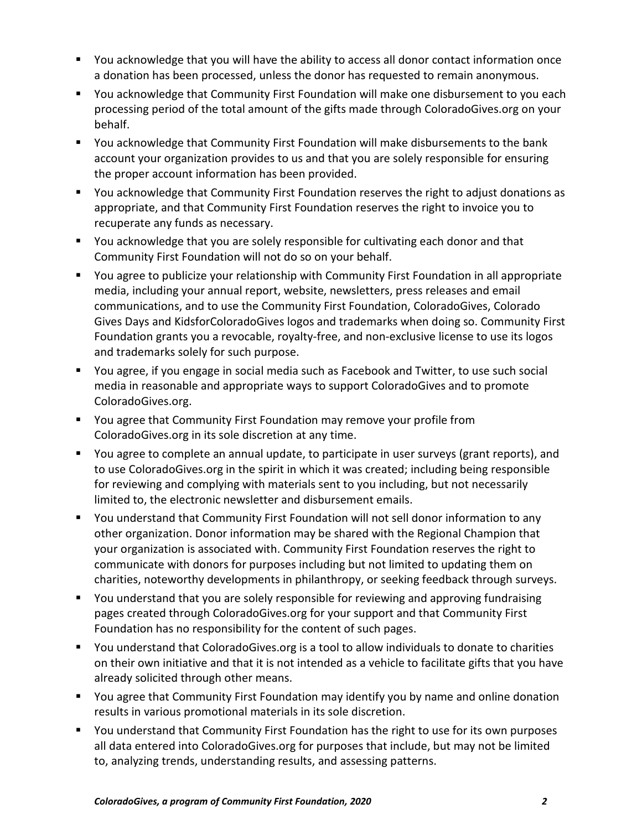- You acknowledge that you will have the ability to access all donor contact information once a donation has been processed, unless the donor has requested to remain anonymous.
- You acknowledge that Community First Foundation will make one disbursement to you each processing period of the total amount of the gifts made through ColoradoGives.org on your behalf.
- You acknowledge that Community First Foundation will make disbursements to the bank account your organization provides to us and that you are solely responsible for ensuring the proper account information has been provided.
- You acknowledge that Community First Foundation reserves the right to adjust donations as appropriate, and that Community First Foundation reserves the right to invoice you to recuperate any funds as necessary.
- You acknowledge that you are solely responsible for cultivating each donor and that Community First Foundation will not do so on your behalf.
- You agree to publicize your relationship with Community First Foundation in all appropriate media, including your annual report, website, newsletters, press releases and email communications, and to use the Community First Foundation, ColoradoGives, Colorado Gives Days and KidsforColoradoGives logos and trademarks when doing so. Community First Foundation grants you a revocable, royalty-free, and non-exclusive license to use its logos and trademarks solely for such purpose.
- You agree, if you engage in social media such as Facebook and Twitter, to use such social media in reasonable and appropriate ways to support ColoradoGives and to promote ColoradoGives.org.
- You agree that Community First Foundation may remove your profile from ColoradoGives.org in its sole discretion at any time.
- You agree to complete an annual update, to participate in user surveys (grant reports), and to use ColoradoGives.org in the spirit in which it was created; including being responsible for reviewing and complying with materials sent to you including, but not necessarily limited to, the electronic newsletter and disbursement emails.
- You understand that Community First Foundation will not sell donor information to any other organization. Donor information may be shared with the Regional Champion that your organization is associated with. Community First Foundation reserves the right to communicate with donors for purposes including but not limited to updating them on charities, noteworthy developments in philanthropy, or seeking feedback through surveys.
- You understand that you are solely responsible for reviewing and approving fundraising pages created through ColoradoGives.org for your support and that Community First Foundation has no responsibility for the content of such pages.
- You understand that ColoradoGives.org is a tool to allow individuals to donate to charities on their own initiative and that it is not intended as a vehicle to facilitate gifts that you have already solicited through other means.
- You agree that Community First Foundation may identify you by name and online donation results in various promotional materials in its sole discretion.
- You understand that Community First Foundation has the right to use for its own purposes all data entered into ColoradoGives.org for purposes that include, but may not be limited to, analyzing trends, understanding results, and assessing patterns.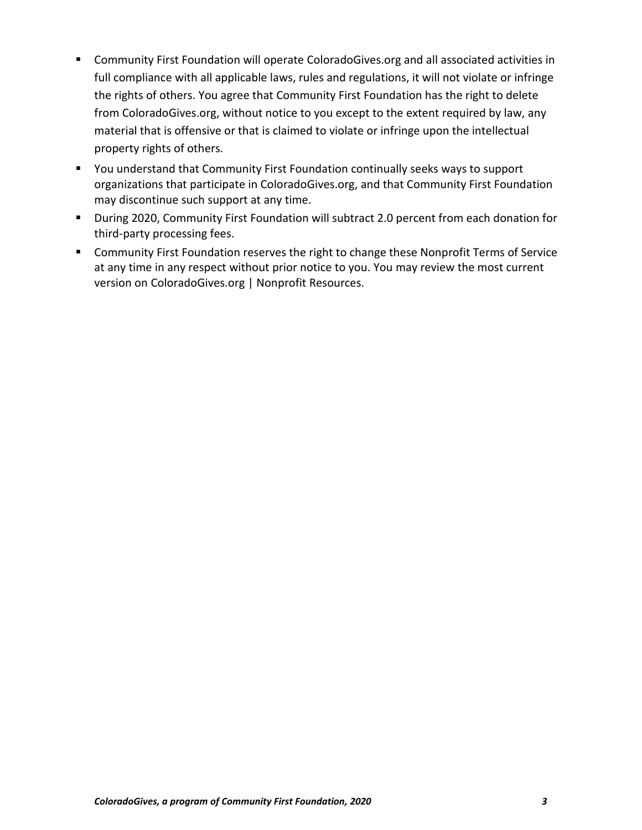- Community First Foundation will operate ColoradoGives.org and all associated activities in full compliance with all applicable laws, rules and regulations, it will not violate or infringe the rights of others. You agree that Community First Foundation has the right to delete from ColoradoGives.org, without notice to you except to the extent required by law, any material that is offensive or that is claimed to violate or infringe upon the intellectual property rights of others.
- You understand that Community First Foundation continually seeks ways to support organizations that participate in ColoradoGives.org, and that Community First Foundation may discontinue such support at any time.
- During 2020, Community First Foundation will subtract 2.0 percent from each donation for third-party processing fees.
- **EXP** Community First Foundation reserves the right to change these Nonprofit Terms of Service at any time in any respect without prior notice to you. You may review the most current version on ColoradoGives.org | Nonprofit Resources.